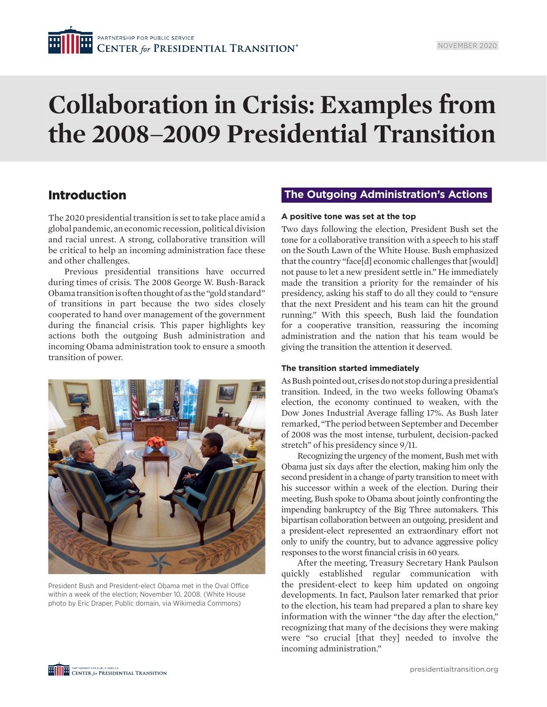# **Collaboration in Crisis: Examples from the 2008–2009 Presidential Transition**

# Introduction

The 2020 presidential transition is set to take place amid a global pandemic, an economic recession, political division and racial unrest. A strong, collaborative transition will be critical to help an incoming administration face these and other challenges.

Previous presidential transitions have occurred during times of crisis. The 2008 George W. Bush-Barack Obama transition is often thought of as the "gold standard" of transitions in part because the two sides closely cooperated to hand over management of the government during the financial crisis. This paper highlights key actions both the outgoing Bush administration and incoming Obama administration took to ensure a smooth transition of power.



President Bush and President-elect Obama met in the Oval Office within a week of the election; November 10, 2008. (White House photo by Eric Draper, Public domain, via Wikimedia Commons)

# **The Outgoing Administration's Actions**

#### **A positive tone was set at the top**

Two days following the election, President Bush set the tone for a collaborative transition with a speech to his staff on the South Lawn of the White House. Bush emphasized that the country "face[d] economic challenges that [would] not pause to let a new president settle in." He immediately made the transition a priority for the remainder of his presidency, asking his staff to do all they could to "ensure that the next President and his team can hit the ground running." With this speech, Bush laid the foundation for a cooperative transition, reassuring the incoming administration and the nation that his team would be giving the transition the attention it deserved.

## **The transition started immediately**

As Bush pointed out, crises do not stop during a presidential transition. Indeed, in the two weeks following Obama's election, the economy continued to weaken, with the Dow Jones Industrial Average falling 17%. As Bush later remarked, "The period between September and December of 2008 was the most intense, turbulent, decision-packed stretch" of his presidency since 9/11.

Recognizing the urgency of the moment, Bush met with Obama just six days after the election, making him only the second president in a change of party transition to meet with his successor within a week of the election. During their meeting, Bush spoke to Obama about jointly confronting the impending bankruptcy of the Big Three automakers. This bipartisan collaboration between an outgoing, president and a president-elect represented an extraordinary effort not only to unify the country, but to advance aggressive policy responses to the worst financial crisis in 60 years.

After the meeting, Treasury Secretary Hank Paulson quickly established regular communication with the president-elect to keep him updated on ongoing developments. In fact, Paulson later remarked that prior to the election, his team had prepared a plan to share key information with the winner "the day after the election," recognizing that many of the decisions they were making were "so crucial [that they] needed to involve the incoming administration."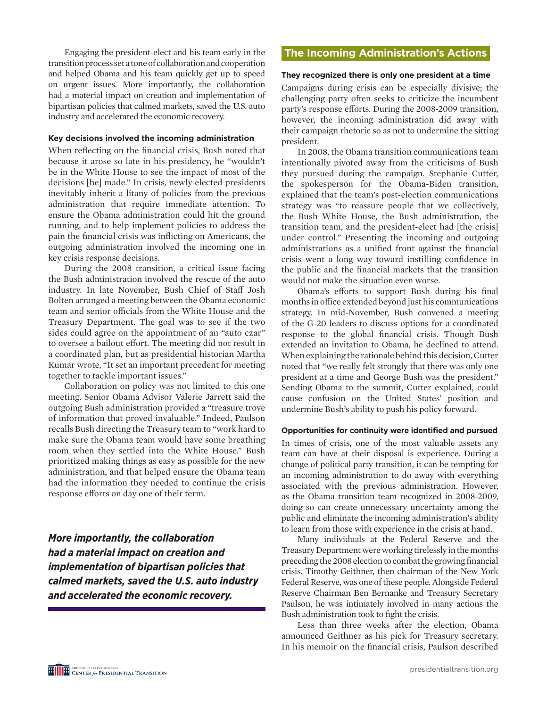Engaging the president-elect and his team early in the transition process set a tone of collaboration and cooperation and helped Obama and his team quickly get up to speed on urgent issues. More importantly, the collaboration had a material impact on creation and implementation of bipartisan policies that calmed markets, saved the U.S. auto industry and accelerated the economic recovery.

#### **Key decisions involved the incoming administration**

When reflecting on the financial crisis, Bush noted that because it arose so late in his presidency, he "wouldn't be in the White House to see the impact of most of the decisions [he] made." In crisis, newly elected presidents inevitably inherit a litany of policies from the previous administration that require immediate attention. To ensure the Obama administration could hit the ground running, and to help implement policies to address the pain the financial crisis was inflicting on Americans, the outgoing administration involved the incoming one in key crisis response decisions.

During the 2008 transition, a critical issue facing the Bush administration involved the rescue of the auto industry. In late November, Bush Chief of Staff Josh Bolten arranged a meeting between the Obama economic team and senior officials from the White House and the Treasury Department. The goal was to see if the two sides could agree on the appointment of an "auto czar" to oversee a bailout effort. The meeting did not result in a coordinated plan, but as presidential historian Martha Kumar wrote, "It set an important precedent for meeting together to tackle important issues."

Collaboration on policy was not limited to this one meeting. Senior Obama Advisor Valerie Jarrett said the outgoing Bush administration provided a "treasure trove of information that proved invaluable." Indeed, Paulson recalls Bush directing the Treasury team to "work hard to make sure the Obama team would have some breathing room when they settled into the White House." Bush prioritized making things as easy as possible for the new administration, and that helped ensure the Obama team had the information they needed to continue the crisis response efforts on day one of their term.

*More importantly, the collaboration had a material impact on creation and implementation of bipartisan policies that calmed markets, saved the U.S. auto industry and accelerated the economic recovery.* 

## **The Incoming Administration's Actions**

#### **They recognized there is only one president at a time**

Campaigns during crisis can be especially divisive; the challenging party often seeks to criticize the incumbent party's response efforts. During the 2008-2009 transition, however, the incoming administration did away with their campaign rhetoric so as not to undermine the sitting president.

In 2008, the Obama transition communications team intentionally pivoted away from the criticisms of Bush they pursued during the campaign. Stephanie Cutter, the spokesperson for the Obama-Biden transition, explained that the team's post-election communications strategy was "to reassure people that we collectively, the Bush White House, the Bush administration, the transition team, and the president-elect had [the crisis] under control." Presenting the incoming and outgoing administrations as a unified front against the financial crisis went a long way toward instilling confidence in the public and the financial markets that the transition would not make the situation even worse.

Obama's efforts to support Bush during his final months in office extended beyond just his communications strategy. In mid-November, Bush convened a meeting of the G-20 leaders to discuss options for a coordinated response to the global financial crisis. Though Bush extended an invitation to Obama, he declined to attend. When explaining the rationale behind this decision, Cutter noted that "we really felt strongly that there was only one president at a time and George Bush was the president." Sending Obama to the summit, Cutter explained, could cause confusion on the United States' position and undermine Bush's ability to push his policy forward.

### **Opportunities for continuity were identified and pursued**

In times of crisis, one of the most valuable assets any team can have at their disposal is experience. During a change of political party transition, it can be tempting for an incoming administration to do away with everything associated with the previous administration. However, as the Obama transition team recognized in 2008-2009, doing so can create unnecessary uncertainty among the public and eliminate the incoming administration's ability to learn from those with experience in the crisis at hand.

Many individuals at the Federal Reserve and the Treasury Department were working tirelessly in the months preceding the 2008 election to combat the growing financial crisis. Timothy Geithner, then chairman of the New York Federal Reserve, was one of these people. Alongside Federal Reserve Chairman Ben Bernanke and Treasury Secretary Paulson, he was intimately involved in many actions the Bush administration took to fight the crisis.

Less than three weeks after the election, Obama announced Geithner as his pick for Treasury secretary. In his memoir on the financial crisis, Paulson described